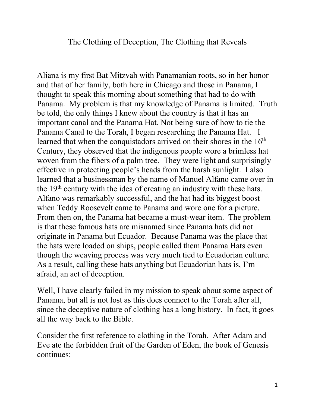The Clothing of Deception, The Clothing that Reveals

Aliana is my first Bat Mitzvah with Panamanian roots, so in her honor and that of her family, both here in Chicago and those in Panama, I thought to speak this morning about something that had to do with Panama. My problem is that my knowledge of Panama is limited. Truth be told, the only things I knew about the country is that it has an important canal and the Panama Hat. Not being sure of how to tie the Panama Canal to the Torah, I began researching the Panama Hat. I learned that when the conquistadors arrived on their shores in the  $16<sup>th</sup>$ Century, they observed that the indigenous people wore a brimless hat woven from the fibers of a palm tree. They were light and surprisingly effective in protecting people's heads from the harsh sunlight. I also learned that a businessman by the name of Manuel Alfano came over in the 19th century with the idea of creating an industry with these hats. Alfano was remarkably successful, and the hat had its biggest boost when Teddy Roosevelt came to Panama and wore one for a picture. From then on, the Panama hat became a must-wear item. The problem is that these famous hats are misnamed since Panama hats did not originate in Panama but Ecuador. Because Panama was the place that the hats were loaded on ships, people called them Panama Hats even though the weaving process was very much tied to Ecuadorian culture. As a result, calling these hats anything but Ecuadorian hats is, I'm afraid, an act of deception.

Well, I have clearly failed in my mission to speak about some aspect of Panama, but all is not lost as this does connect to the Torah after all, since the deceptive nature of clothing has a long history. In fact, it goes all the way back to the Bible.

Consider the first reference to clothing in the Torah. After Adam and Eve ate the forbidden fruit of the Garden of Eden, the book of Genesis continues: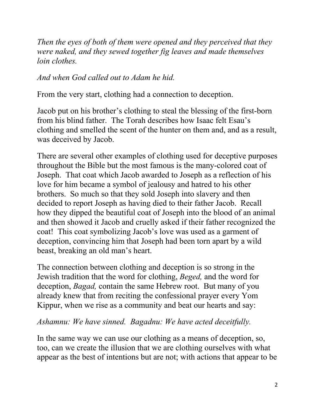*Then the eyes of both of them were opened and they perceived that they were naked, and they sewed together fig leaves and made themselves loin clothes.* 

*And when God called out to Adam he hid.* 

From the very start, clothing had a connection to deception.

Jacob put on his brother's clothing to steal the blessing of the first-born from his blind father. The Torah describes how Isaac felt Esau's clothing and smelled the scent of the hunter on them and, and as a result, was deceived by Jacob.

There are several other examples of clothing used for deceptive purposes throughout the Bible but the most famous is the many-colored coat of Joseph. That coat which Jacob awarded to Joseph as a reflection of his love for him became a symbol of jealousy and hatred to his other brothers. So much so that they sold Joseph into slavery and then decided to report Joseph as having died to their father Jacob. Recall how they dipped the beautiful coat of Joseph into the blood of an animal and then showed it Jacob and cruelly asked if their father recognized the coat! This coat symbolizing Jacob's love was used as a garment of deception, convincing him that Joseph had been torn apart by a wild beast, breaking an old man's heart.

The connection between clothing and deception is so strong in the Jewish tradition that the word for clothing, *Beged,* and the word for deception, *Bagad,* contain the same Hebrew root. But many of you already knew that from reciting the confessional prayer every Yom Kippur, when we rise as a community and beat our hearts and say:

## *Ashamnu: We have sinned. Bagadnu: We have acted deceitfully.*

In the same way we can use our clothing as a means of deception, so, too, can we create the illusion that we are clothing ourselves with what appear as the best of intentions but are not; with actions that appear to be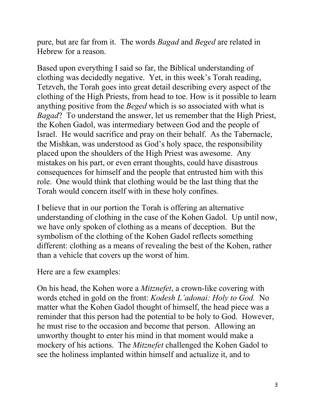pure, but are far from it. The words *Bagad* and *Beged* are related in Hebrew for a reason.

Based upon everything I said so far, the Biblical understanding of clothing was decidedly negative. Yet, in this week's Torah reading, Tetzveh, the Torah goes into great detail describing every aspect of the clothing of the High Priests, from head to toe. How is it possible to learn anything positive from the *Beged* which is so associated with what is *Bagad*? To understand the answer, let us remember that the High Priest, the Kohen Gadol, was intermediary between God and the people of Israel. He would sacrifice and pray on their behalf. As the Tabernacle, the Mishkan, was understood as God's holy space, the responsibility placed upon the shoulders of the High Priest was awesome. Any mistakes on his part, or even errant thoughts, could have disastrous consequences for himself and the people that entrusted him with this role. One would think that clothing would be the last thing that the Torah would concern itself with in these holy confines.

I believe that in our portion the Torah is offering an alternative understanding of clothing in the case of the Kohen Gadol. Up until now, we have only spoken of clothing as a means of deception. But the symbolism of the clothing of the Kohen Gadol reflects something different: clothing as a means of revealing the best of the Kohen, rather than a vehicle that covers up the worst of him.

Here are a few examples:

On his head, the Kohen wore a *Mitznefet*, a crown-like covering with words etched in gold on the front: *Kodesh L'adonai: Holy to God.* No matter what the Kohen Gadol thought of himself, the head piece was a reminder that this person had the potential to be holy to God. However, he must rise to the occasion and become that person. Allowing an unworthy thought to enter his mind in that moment would make a mockery of his actions. The *Mitznefet* challenged the Kohen Gadol to see the holiness implanted within himself and actualize it, and to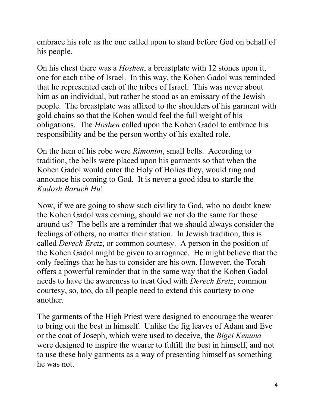embrace his role as the one called upon to stand before God on behalf of his people.

On his chest there was a *Hoshen*, a breastplate with 12 stones upon it, one for each tribe of Israel. In this way, the Kohen Gadol was reminded that he represented each of the tribes of Israel. This was never about him as an individual, but rather he stood as an emissary of the Jewish people. The breastplate was affixed to the shoulders of his garment with gold chains so that the Kohen would feel the full weight of his obligations. The *Hoshen* called upon the Kohen Gadol to embrace his responsibility and be the person worthy of his exalted role.

On the hem of his robe were *Rimonim*, small bells. According to tradition, the bells were placed upon his garments so that when the Kohen Gadol would enter the Holy of Holies they, would ring and announce his coming to God. It is never a good idea to startle the *Kadosh Baruch Hu*!

Now, if we are going to show such civility to God, who no doubt knew the Kohen Gadol was coming, should we not do the same for those around us? The bells are a reminder that we should always consider the feelings of others, no matter their station. In Jewish tradition, this is called *Derech Eretz*, or common courtesy. A person in the position of the Kohen Gadol might be given to arrogance. He might believe that the only feelings that he has to consider are his own. However, the Torah offers a powerful reminder that in the same way that the Kohen Gadol needs to have the awareness to treat God with *Derech Eretz*, common courtesy, so, too, do all people need to extend this courtesy to one another.

The garments of the High Priest were designed to encourage the wearer to bring out the best in himself. Unlike the fig leaves of Adam and Eve or the coat of Joseph, which were used to deceive, the *Bigei Kenuna* were designed to inspire the wearer to fulfill the best in himself, and not to use these holy garments as a way of presenting himself as something he was not.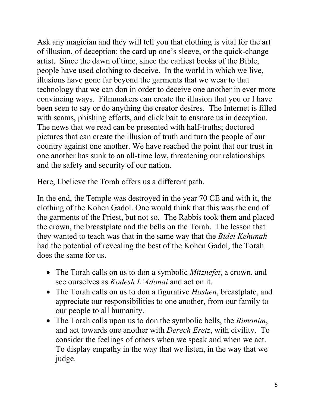Ask any magician and they will tell you that clothing is vital for the art of illusion, of deception: the card up one's sleeve, or the quick-change artist. Since the dawn of time, since the earliest books of the Bible, people have used clothing to deceive. In the world in which we live, illusions have gone far beyond the garments that we wear to that technology that we can don in order to deceive one another in ever more convincing ways. Filmmakers can create the illusion that you or I have been seen to say or do anything the creator desires. The Internet is filled with scams, phishing efforts, and click bait to ensnare us in deception. The news that we read can be presented with half-truths; doctored pictures that can create the illusion of truth and turn the people of our country against one another. We have reached the point that our trust in one another has sunk to an all-time low, threatening our relationships and the safety and security of our nation.

Here, I believe the Torah offers us a different path.

In the end, the Temple was destroyed in the year 70 CE and with it, the clothing of the Kohen Gadol. One would think that this was the end of the garments of the Priest, but not so. The Rabbis took them and placed the crown, the breastplate and the bells on the Torah. The lesson that they wanted to teach was that in the same way that the *Bidei Kehunah* had the potential of revealing the best of the Kohen Gadol, the Torah does the same for us.

- The Torah calls on us to don a symbolic *Mitznefet*, a crown, and see ourselves as *Kodesh L'Adonai* and act on it.
- The Torah calls on us to don a figurative *Hoshen*, breastplate, and appreciate our responsibilities to one another, from our family to our people to all humanity.
- The Torah calls upon us to don the symbolic bells, the *Rimonim*, and act towards one another with *Derech Eretz*, with civility. To consider the feelings of others when we speak and when we act. To display empathy in the way that we listen, in the way that we judge.